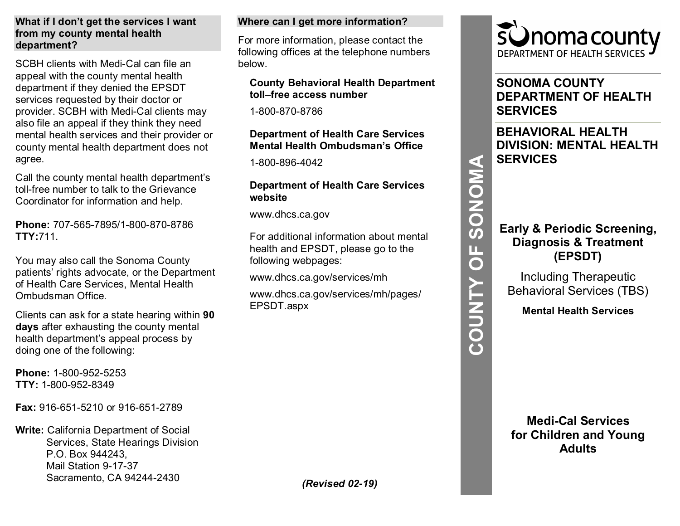#### **What if I don't get the services I want from my county mental health department?**

SCBH clients with Medi-Cal can file an appeal with the county mental health department if they denied the EPSDT services requested by their doctor or provider. SCBH with Medi-Cal clients may also file an appeal if they think they need mental health services and their provider or county mental health department does not agree.

Call the county mental health department's toll-free number to talk to the Grievance Coordinator for information and help.

**Phone:** 707-565-7895/1-800-870-8786 **TTY:**711.

You may also call the Sonoma County patients' rights advocate, or the Department of Health Care Services, Mental Health Ombudsman Office.

Clients can ask for a state hearing within **90 days** after exhausting the county mental health department's appeal process by doing one of the following:

**Phone:** 1-800-952-5253 **TTY:** 1-800-952-8349

**Fax:** 916-651-5210 or 916-651-2789

**Write:** California Department of Social Services, State Hearings Division P.O. Box 944243, Mail Station 9-17-37 Sacramento, CA 94244-2430

#### **Where can I get more information?**

For more information, please contact the following offices at the telephone numbers below.

#### **County Behavioral Health Department toll–free access number**

1-800-870-8786

## **Department of Health Care Services Mental Health Ombudsman's Office**

1-800-896-4042

## **Department of Health Care Services website**

www.dhcs.ca.gov

For additional information about mental health and EPSDT, please go to the following webpages:

www.dhcs.ca.gov/services/mh

www.dhcs.ca.gov/services/mh/pages/ EPSDT.aspx



# **SONOMA COUNTY DEPARTMENT OF HEALTH SERVICES**

**BEHAVIORAL HEALTH DIVISION: MENTAL HEALTH SERVICES** 

# **Early & Periodic Screening, Diagnosis & Treatment (EPSDT)**

**COUNTY OF SONOMA**

COUNTY OF

SONOMA

Including Therapeutic Behavioral Services (TBS)

**Mental Health Services**

**Medi-Cal Services for Children and Young Adults**

*(Revised 02-19)*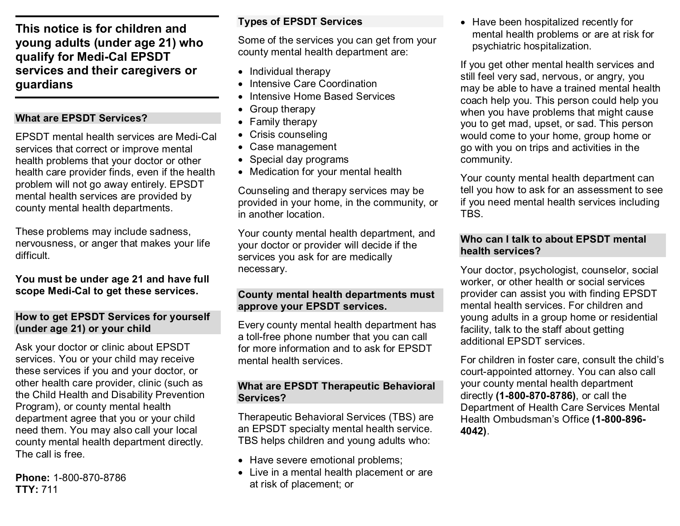**This notice is for children and young adults (under age 21) who qualify for Medi-Cal EPSDT services and their caregivers or guardians**

## **What are EPSDT Services?**

EPSDT mental health services are Medi-Cal services that correct or improve mental health problems that your doctor or other health care provider finds, even if the health problem will not go away entirely. EPSDT mental health services are provided by county mental health departments.

These problems may include sadness, nervousness, or anger that makes your life difficult.

**You must be under age 21 and have full scope Medi-Cal to get these services.**

### **How to get EPSDT Services for yourself (under age 21) or your child**

Ask your doctor or clinic about EPSDT services. You or your child may receive these services if you and your doctor, or other health care provider, clinic (such as the Child Health and Disability Prevention Program), or county mental health department agree that you or your child need them. You may also call your local county mental health department directly. The call is free.

**Phone:** 1-800-870-8786 **TTY:** 711

# **Types of EPSDT Services**

Some of the services you can get from your county mental health department are:

- Individual therapy
- Intensive Care Coordination
- Intensive Home Based Services
- Group therapy
- Family therapy
- Crisis counseling
- Case management
- Special day programs
- Medication for your mental health

Counseling and therapy services may be provided in your home, in the community, or in another location.

Your county mental health department, and your doctor or provider will decide if the services you ask for are medically necessary.

## **County mental health departments must approve your EPSDT services.**

Every county mental health department has a toll-free phone number that you can call for more information and to ask for EPSDT mental health services.

### **What are EPSDT Therapeutic Behavioral Services?**

Therapeutic Behavioral Services (TBS) are an EPSDT specialty mental health service. TBS helps children and young adults who:

- Have severe emotional problems;
- Live in a mental health placement or are at risk of placement; or

• Have been hospitalized recently for mental health problems or are at risk for psychiatric hospitalization.

If you get other mental health services and still feel very sad, nervous, or angry, you may be able to have a trained mental health coach help you. This person could help you when you have problems that might cause you to get mad, upset, or sad. This person would come to your home, group home or go with you on trips and activities in the community.

Your county mental health department can tell you how to ask for an assessment to see if you need mental health services including **TBS** 

## **Who can I talk to about EPSDT mental health services?**

Your doctor, psychologist, counselor, social worker, or other health or social services provider can assist you with finding EPSDT mental health services. For children and young adults in a group home or residential facility, talk to the staff about getting additional EPSDT services.

For children in foster care, consult the child's court-appointed attorney. You can also call your county mental health department directly **(1-800-870-8786)**, or call the Department of Health Care Services Mental Health Ombudsman's Office **(1-800-896- 4042)**.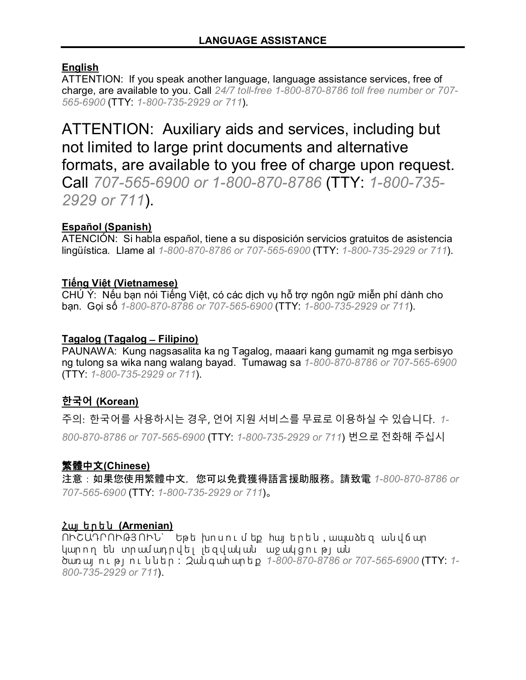# **English**

ATTENTION: If you speak another language, language assistance services, free of charge, are available to you. Call *24/7 toll-free 1-800-870-8786 toll free number or 707- 565-6900* (TTY: *1-800-735-2929 or 711*).

ATTENTION: Auxiliary aids and services, including but not limited to large print documents and alternative formats, are available to you free of charge upon request. Call *707-565-6900 or 1-800-870-8786* (TTY: *1-800-735- 2929 or 711*).

## **Español (Spanish)**

ATENCIÓN: Si habla español, tiene a su disposición servicios gratuitos de asistencia lingüística. Llame al *1-800-870-8786 or 707-565-6900* (TTY: *1-800-735-2929 or 711*).

## **Tiếng Việt (Vietnamese)**

CHÚ Ý: Nếu bạn nói Tiếng Việt, có các dịch vụ hỗ trợ ngôn ngữ miễn phí dành cho bạn. Gọi số *1-800-870-8786 or 707-565-6900* (TTY: *1-800-735-2929 or 711*).

## **Tagalog (Tagalog ̶ Filipino)**

PAUNAWA: Kung nagsasalita ka ng Tagalog, maaari kang gumamit ng mga serbisyo ng tulong sa wika nang walang bayad. Tumawag sa *1-800-870-8786 or 707-565-6900* (TTY: *1-800-735-2929 or 711*).

# **한국어 (Korean)**

주의: 한국어를 사용하시는 경우, 언어 지원 서비스를 무료로 이용하실 수 있습니다. *1- 800-870-8786 or 707-565-6900* (TTY: *1-800-735-2929 or 711*) 번으로 전화해 주십시

## 繁體中文**(Chinese)**

注意:如果您使用繁體中文,您可以免費獲得語言援助服務。請致電 *1-800-870-8786 or 707-565-6900* (TTY: *1-800-735-2929 or 711*)。

## Հայ ե ր ե ն **(Armenian)**

ՈՒՇԱԴՐՈՒԹՅՈՒՆ՝ Եթե խոսում եք հայ երեն, ապաձեզ անվճար կարող են տրամադրվել լեզվական աջակցության ծառ այ ո ւ թ յ ո ւ ն ն ե ր : Զան գ ահ ար ե ք *1-800-870-8786 or 707-565-6900* (TTY: *1- 800-735-2929 or 711*).